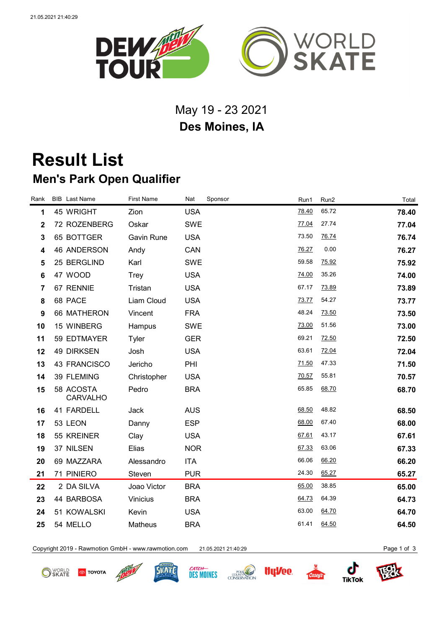

## May 19 - 23 2021 **Des Moines, IA**

## **Result List Men's Park Open Qualifier**

| Rank           | <b>BIB</b> Last Name         | <b>First Name</b> | Nat<br>Sponsor | Run1  | Run2  | Total |
|----------------|------------------------------|-------------------|----------------|-------|-------|-------|
| 1              | 45 WRIGHT                    | Zion              | <b>USA</b>     | 78.40 | 65.72 | 78.40 |
| $\mathbf 2$    | 72 ROZENBERG                 | Oskar             | <b>SWE</b>     | 77.04 | 27.74 | 77.04 |
| $\mathbf 3$    | 65 BOTTGER                   | Gavin Rune        | <b>USA</b>     | 73.50 | 76.74 | 76.74 |
| 4              | 46 ANDERSON                  | Andy              | CAN            | 76.27 | 0.00  | 76.27 |
| 5              | 25 BERGLIND                  | Karl              | <b>SWE</b>     | 59.58 | 75.92 | 75.92 |
| 6              | 47 WOOD                      | <b>Trey</b>       | <b>USA</b>     | 74.00 | 35.26 | 74.00 |
| $\overline{7}$ | 67 RENNIE                    | Tristan           | <b>USA</b>     | 67.17 | 73.89 | 73.89 |
| 8              | 68 PACE                      | Liam Cloud        | <b>USA</b>     | 73.77 | 54.27 | 73.77 |
| 9              | 66 MATHERON                  | Vincent           | <b>FRA</b>     | 48.24 | 73.50 | 73.50 |
| 10             | 15 WINBERG                   | Hampus            | <b>SWE</b>     | 73.00 | 51.56 | 73.00 |
| 11             | 59 EDTMAYER                  | Tyler             | <b>GER</b>     | 69.21 | 72.50 | 72.50 |
| 12             | <b>49 DIRKSEN</b>            | Josh              | <b>USA</b>     | 63.61 | 72.04 | 72.04 |
| 13             | 43 FRANCISCO                 | Jericho           | PHI            | 71.50 | 47.33 | 71.50 |
| 14             | 39 FLEMING                   | Christopher       | <b>USA</b>     | 70.57 | 55.81 | 70.57 |
| 15             | 58 ACOSTA<br><b>CARVALHO</b> | Pedro             | <b>BRA</b>     | 65.85 | 68.70 | 68.70 |
| 16             | 41 FARDELL                   | Jack              | <b>AUS</b>     | 68.50 | 48.82 | 68.50 |
| 17             | 53 LEON                      | Danny             | <b>ESP</b>     | 68.00 | 67.40 | 68.00 |
| 18             | 55 KREINER                   | Clay              | <b>USA</b>     | 67.61 | 43.17 | 67.61 |
| 19             | 37 NILSEN                    | Elias             | <b>NOR</b>     | 67.33 | 63.06 | 67.33 |
| 20             | 69 MAZZARA                   | Alessandro        | <b>ITA</b>     | 66.06 | 66.20 | 66.20 |
| 21             | 71 PINIERO                   | Steven            | <b>PUR</b>     | 24.30 | 65.27 | 65.27 |
| 22             | 2 DA SILVA                   | Joao Victor       | <b>BRA</b>     | 65.00 | 38.85 | 65.00 |
| 23             | 44 BARBOSA                   | Vinicius          | <b>BRA</b>     | 64.73 | 64.39 | 64.73 |
| 24             | 51 KOWALSKI                  | Kevin             | <b>USA</b>     | 63.00 | 64.70 | 64.70 |
| 25             | 54 MELLO                     | Matheus           | <b>BRA</b>     | 61.41 | 64.50 | 64.50 |
|                |                              |                   |                |       |       |       |

Copyright 2019 - Rawmotion GmbH - www.rawmotion.com 21.05.2021 21:40:29 Page 1 of 3

**O** SKATE **TOYOTA** 











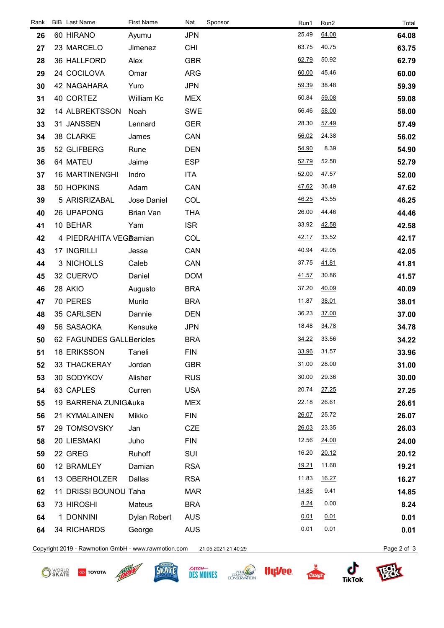| Rank | <b>BIB</b> Last Name     | <b>First Name</b> | Nat        | Sponsor | Run1  | Run2         | Total |
|------|--------------------------|-------------------|------------|---------|-------|--------------|-------|
| 26   | 60 HIRANO                | Ayumu             | <b>JPN</b> |         | 25.49 | 64.08        | 64.08 |
| 27   | 23 MARCELO               | Jimenez           | <b>CHI</b> |         | 63.75 | 40.75        | 63.75 |
| 28   | 36 HALLFORD              | Alex              | <b>GBR</b> |         | 62.79 | 50.92        | 62.79 |
| 29   | 24 COCILOVA              | Omar              | <b>ARG</b> |         | 60.00 | 45.46        | 60.00 |
| 30   | 42 NAGAHARA              | Yuro              | <b>JPN</b> |         | 59.39 | 38.48        | 59.39 |
| 31   | 40 CORTEZ                | William Kc        | <b>MEX</b> |         | 50.84 | 59.08        | 59.08 |
| 32   | 14 ALBREKTSSON           | Noah              | <b>SWE</b> |         | 56.46 | 58.00        | 58.00 |
| 33   | 31 JANSSEN               | Lennard           | <b>GER</b> |         | 28.30 | 57.49        | 57.49 |
| 34   | 38 CLARKE                | James             | CAN        |         | 56.02 | 24.38        | 56.02 |
| 35   | 52 GLIFBERG              | Rune              | <b>DEN</b> |         | 54.90 | 8.39         | 54.90 |
| 36   | 64 MATEU                 | Jaime             | <b>ESP</b> |         | 52.79 | 52.58        | 52.79 |
| 37   | <b>16 MARTINENGHI</b>    | Indro             | ITA        |         | 52.00 | 47.57        | 52.00 |
| 38   | 50 HOPKINS               | Adam              | CAN        |         | 47.62 | 36.49        | 47.62 |
| 39   | 5 ARISRIZABAL            | Jose Daniel       | COL        |         | 46.25 | 43.55        | 46.25 |
| 40   | 26 UPAPONG               | Brian Van         | <b>THA</b> |         | 26.00 | 44.46        | 44.46 |
| 41   | 10 BEHAR                 | Yam               | <b>ISR</b> |         | 33.92 | 42.58        | 42.58 |
| 42   | 4 PIEDRAHITA VEGAamian   |                   | COL        |         | 42.17 | 33.52        | 42.17 |
| 43   | 17 INGRILLI              | Jesse             | CAN        |         | 40.94 | 42.05        | 42.05 |
| 44   | 3 NICHOLLS               | Caleb             | CAN        |         | 37.75 | 41.81        | 41.81 |
| 45   | 32 CUERVO                | Daniel            | <b>DOM</b> |         | 41.57 | 30.86        | 41.57 |
| 46   | 28 AKIO                  | Augusto           | <b>BRA</b> |         | 37.20 | 40.09        | 40.09 |
| 47   | 70 PERES                 | Murilo            | <b>BRA</b> |         | 11.87 | 38.01        | 38.01 |
| 48   | 35 CARLSEN               | Dannie            | <b>DEN</b> |         | 36.23 | 37.00        | 37.00 |
| 49   | 56 SASAOKA               | Kensuke           | <b>JPN</b> |         | 18.48 | 34.78        | 34.78 |
| 50   | 62 FAGUNDES GALLEericles |                   | <b>BRA</b> |         | 34.22 | 33.56        | 34.22 |
| 51   | <b>18 ERIKSSON</b>       | Taneli            | <b>FIN</b> |         | 33.96 | 31.57        | 33.96 |
| 52   | 33 THACKERAY             | Jordan            | <b>GBR</b> |         | 31.00 | 28.00        | 31.00 |
| 53   | 30 SODYKOV               | Alisher           | <b>RUS</b> |         | 30.00 | 29.36        | 30.00 |
| 54   | 63 CAPLES                | Curren            | <b>USA</b> |         | 20.74 | <u>27.25</u> | 27.25 |
| 55   | 19 BARRENA ZUNIGAuka     |                   | <b>MEX</b> |         | 22.18 | 26.61        | 26.61 |
| 56   | 21 KYMALAINEN            | Mikko             | <b>FIN</b> |         | 26.07 | 25.72        | 26.07 |
| 57   | 29 TOMSOVSKY             | Jan               | <b>CZE</b> |         | 26.03 | 23.35        | 26.03 |
| 58   | 20 LIESMAKI              | Juho              | <b>FIN</b> |         | 12.56 | 24.00        | 24.00 |
| 59   | 22 GREG                  | Ruhoff            | <b>SUI</b> |         | 16.20 | 20.12        | 20.12 |
| 60   | 12 BRAMLEY               | Damian            | <b>RSA</b> |         | 19.21 | 11.68        | 19.21 |
| 61   | 13 OBERHOLZER            | Dallas            | <b>RSA</b> |         | 11.83 | 16.27        | 16.27 |
| 62   | 11 DRISSI BOUNOU Taha    |                   | <b>MAR</b> |         | 14.85 | 9.41         | 14.85 |
| 63   | 73 HIROSHI               | Mateus            | <b>BRA</b> |         | 8.24  | 0.00         | 8.24  |
| 64   | 1 DONNINI                | Dylan Robert      | <b>AUS</b> |         | 0.01  | 0.01         | 0.01  |
| 64   | 34 RICHARDS              | George            | <b>AUS</b> |         | 0.01  | 0.01         | 0.01  |
|      |                          |                   |            |         |       |              |       |

Copyright 2019 - Rawmotion GmbH - www.rawmotion.com 21.05.2021 21:40:29 Page 2 of 3

SKATE **®** TOYOTA